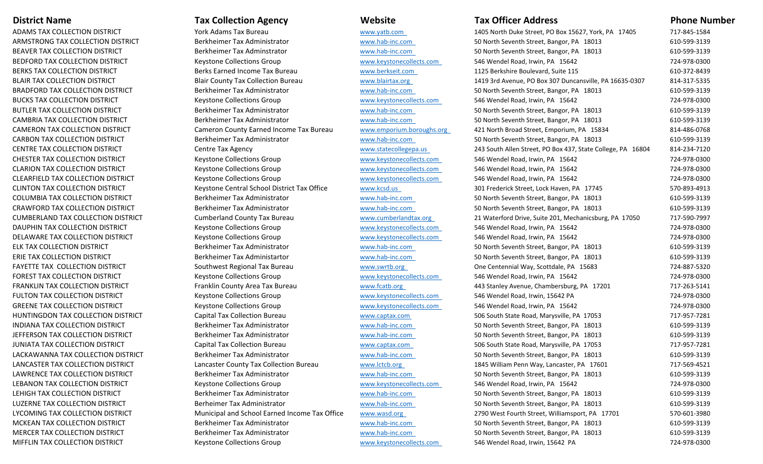## **District Name Tax**

ADAMS TAX COLLECTIONARMSTRONG TAX COLLECTIONBEAVER TAX COLLECTIONBEDFORD TAX COLLECTIONBERKS TAX COLLECTIONBLAIR TAX COLLECTIONBRADFORD TAX COLLECTIONBUCKS TAX COLLECTIONBUTLER TAX COLLECTIONCAMBRIA TAX COLLECTION**CAMERON TAX COLLECTION DISTRICT CARBON TAX COLLECTION DISTRICT** CENTRE TAX COLLECTIONCHESTER TAX COLLECTION**CLARION TAX COLLECTION DISTRICT** CLEARFIELD TAX COLLECTIONCLINTON TAX COLLECTION DISTRICT COLUMBIA TAX COLLECTIONCRAWFORD TAX COLLECTIONCUMBERLAND TAX COLLECTIONDAUPHIN TAX COLLECTION DISTRICT DELAWARE TAX COLLECTIONELK TAX COLLECTIONERIE TAX COLLECTIONFAYETTE TAX COLLECTIONFOREST TAX COLLECTION**FRANKLIN TAX COLLECTION DISTRICT FULTON TAX COLLECTION DISTRICT** GREENE TAX COLLECTIONHUNTINGDON TAX COLLECTION DISTRICT INDIANA TAX COLLECTION**JEFFERSON TAX COLLECTION DISTRICT** JUNIATA TAX COLLECTIONLACKAWANNA TAX COLLECTIONLANCASTER TAX COLLECTIONLAWRENCE TAX COLLECTIONLEBANON TAX COLLECTION DISTRICT LEHIGH TAX COLLECTIONLUZERNE TAX COLLECTIONLYCOMING TAX COLLECTION**MCKEAN TAX COLLECTION DISTRICT** MERCER TAX COLLECTION**MIFFLIN TAX COLLECTION DISTRICT** 

# **Tax Collection Agency**

**Agency Website Tax Officer Address Phone Number**

| N DISTRICT              | York Adams Tax Bureau                         | www.yatb.com              | 1405 North Duke Street, PO Box 15627, York, PA 17405        | 717-845-1584 |
|-------------------------|-----------------------------------------------|---------------------------|-------------------------------------------------------------|--------------|
| ECTION DISTRICT         | Berkheimer Tax Administrator                  | www.hab-inc.com           | 50 North Seventh Street, Bangor, PA 18013                   | 610-599-3139 |
| N DISTRICT              | Berkheimer Tax Adminstrator                   | www.hab-inc.com           | 50 North Seventh Street, Bangor, PA 18013                   | 610-599-3139 |
| <b>ON DISTRICT</b>      | <b>Keystone Collections Group</b>             | www.keystonecollects.com  | 546 Wendel Road, Irwin, PA 15642                            | 724-978-0300 |
| <b>DISTRICT</b>         | Berks Earned Income Tax Bureau                | www.berkseit.com          | 1125 Berkshire Boulevard, Suite 115                         | 610-372-8439 |
| <b>DISTRICT</b>         | <b>Blair County Tax Collection Bureau</b>     | www.blairtax.org          | 1419 3rd Avenue, PO Box 307 Duncansville, PA 16635-0307     | 814-317-5335 |
| <b>TION DISTRICT</b>    | Berkheimer Tax Administrator                  | www.hab-inc.com           | 50 North Seventh Street, Bangor, PA 18013                   | 610-599-3139 |
| <b>I DISTRICT</b>       | <b>Keystone Collections Group</b>             | www.keystonecollects.com  | 546 Wendel Road, Irwin, PA 15642                            | 724-978-0300 |
| N DISTRICT              | Berkheimer Tax Administrator                  | www.hab-inc.com           | 50 North Seventh Street, Bangor, PA 18013                   | 610-599-3139 |
| ON DISTRICT             | Berkheimer Tax Administrator                  | www.hab-inc.com           | 50 North Seventh Street, Bangor, PA 18013                   | 610-599-3139 |
| <b>TION DISTRICT</b>    | Cameron County Earned Income Tax Bureau       | www.emporium.boroughs.org | 421 North Broad Street, Emporium, PA 15834                  | 814-486-0768 |
| )N DISTRICT             | Berkheimer Tax Administrator                  | www.hab-inc.com           | 50 North Seventh Street, Bangor, PA 18013                   | 610-599-3139 |
| N DISTRICT              | Centre Tax Agency                             | www.statecollegepa.us     | 243 South Allen Street, PO Box 437, State College, PA 16804 | 814-234-7120 |
| ON DISTRICT             | <b>Keystone Collections Group</b>             | www.keystonecollects.com  | 546 Wendel Road, Irwin, PA 15642                            | 724-978-0300 |
| ON DISTRICT             | <b>Keystone Collections Group</b>             | www.keystonecollects.com  | 546 Wendel Road, Irwin, PA 15642                            | 724-978-0300 |
| <b>TION DISTRICT</b>    | <b>Keystone Collections Group</b>             | www.keystonecollects.com  | 546 Wendel Road, Irwin, PA 15642                            | 724-978-0300 |
| on district             | Keystone Central School District Tax Office   | www.kcsd.us               | 301 Frederick Street, Lock Haven, PA 17745                  | 570-893-4913 |
| <b>TION DISTRICT</b>    | Berkheimer Tax Administrator                  | www.hab-inc.com           | 50 North Seventh Street, Bangor, PA 18013                   | 610-599-3139 |
| <b>CTION DISTRICT</b>   | Berkheimer Tax Administrator                  | www.hab-inc.com           | 50 North Seventh Street, Bangor, PA 18013                   | 610-599-3139 |
| <b>LECTION DISTRICT</b> | <b>Cumberland County Tax Bureau</b>           | www.cumberlandtax.org     | 21 Waterford Drive, Suite 201, Mechanicsburg, PA 17050      | 717-590-7997 |
| ON DISTRICT             | <b>Keystone Collections Group</b>             | www.keystonecollects.com  | 546 Wendel Road, Irwin, PA 15642                            | 724-978-0300 |
| TION DISTRICT           | <b>Keystone Collections Group</b>             | www.keystonecollects.com  | 546 Wendel Road, Irwin, PA 15642                            | 724-978-0300 |
| STRICT                  | Berkheimer Tax Administrator                  | www.hab-inc.com           | 50 North Seventh Street, Bangor, PA 18013                   | 610-599-3139 |
| <b>ISTRICT</b>          | Berkheimer Tax Administartor                  | www.hab-inc.com           | 50 North Seventh Street, Bangor, PA 18013                   | 610-599-3139 |
| ON DISTRICT             | Southwest Regional Tax Bureau                 | www.swrtb.org             | One Centennial Way, Scottdale, PA 15683                     | 724-887-5320 |
| N DISTRICT              | <b>Keystone Collections Group</b>             | www.keystonecollects.com  | 546 Wendel Road, Irwin, PA 15642                            | 724-978-0300 |
| ION DISTRICT            | Franklin County Area Tax Bureau               | www.fcatb.org             | 443 Stanley Avenue, Chambersburg, PA 17201                  | 717-263-5141 |
| IN DISTRICT             | <b>Keystone Collections Group</b>             | www.keystonecollects.com  | 546 Wendel Road, Irwin, 15642 PA                            | 724-978-0300 |
| IN DISTRICT             | <b>Keystone Collections Group</b>             | www.keystonecollects.com  | 546 Wendel Road, Irwin, PA 15642                            | 724-978-0300 |
| <b>LECTION DISTRICT</b> | Capital Tax Collection Bureau                 | www.captax.com            | 506 South State Road, Marysville, PA 17053                  | 717-957-7281 |
| <b>DN DISTRICT</b>      | Berkheimer Tax Administrator                  | www.hab-inc.com           | 50 North Seventh Street, Bangor, PA 18013                   | 610-599-3139 |
| <b>TION DISTRICT</b>    | Berkheimer Tax Administrator                  | www.hab-inc.com           | 50 North Seventh Street, Bangor, PA 18013                   | 610-599-3139 |
| )N DISTRICT             | Capital Tax Collection Bureau                 | www.captax.com            | 506 South State Road, Marysville, PA 17053                  | 717-957-7281 |
| <b>LECTION DISTRICT</b> | Berkheimer Tax Administrator                  | www.hab-inc.com           | 50 North Seventh Street, Bangor, PA 18013                   | 610-599-3139 |
| tion district:          | Lancaster County Tax Collection Bureau        | www.lctcb.org             | 1845 William Penn Way, Lancaster, PA 17601                  | 717-569-4521 |
| TION DISTRICT           | Berkheimer Tax Administrator                  | www.hab-inc.com           | 50 North Seventh Street, Bangor, PA 18013                   | 610-599-3139 |
| ION DISTRICT            | <b>Keystone Collections Group</b>             | www.keystonecollects.com  | 546 Wendel Road, Irwin, PA 15642                            | 724-978-0300 |
| N DISTRICT              | Berkheimer Tax Administrator                  | www.hab-inc.com           | 50 North Seventh Street, Bangor, PA 18013                   | 610-599-3139 |
| on district             | Berheimer Tax Administrator                   | www.hab-inc.com           | 50 North Seventh Street, Bangor, PA 18013                   | 610-599-3139 |
| <b>TION DISTRICT</b>    | Municipal and School Earned Income Tax Office | www.wasd.org              | 2790 West Fourth Street, Williamsport, PA 17701             | 570-601-3980 |
| ON DISTRICT             | Berkheimer Tax Administrator                  | www.hab-inc.com           | 50 North Seventh Street, Bangor, PA 18013                   | 610-599-3139 |
| )N DISTRICT             | Berkheimer Tax Administrator                  | www.hab-inc.com           | 50 North Seventh Street, Bangor, PA 18013                   | 610-599-3139 |
| IN DISTRICT             | <b>Keystone Collections Group</b>             | www.keystonecollects.com  | 546 Wendel Road, Irwin, 15642 PA                            | 724-978-0300 |